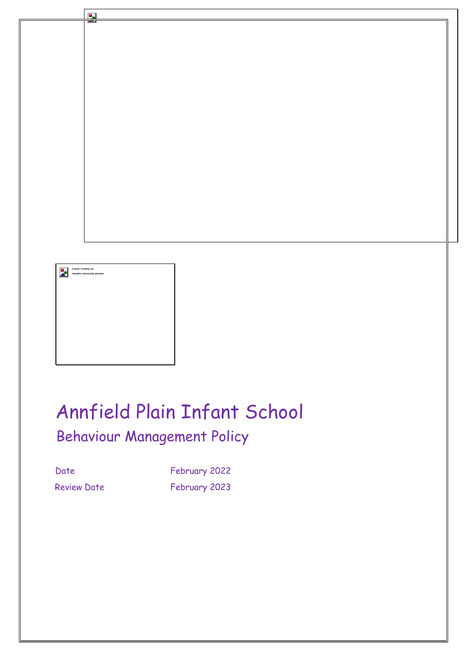

# Annfield Plain Infant School Behaviour Management Policy

Date February 2022 Review Date February 2023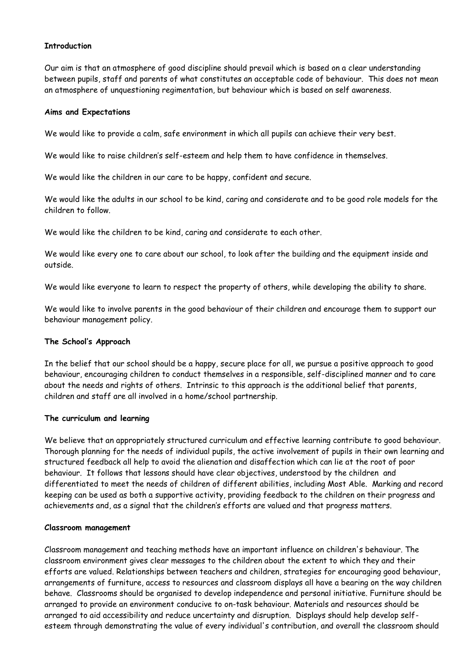## **Introduction**

Our aim is that an atmosphere of good discipline should prevail which is based on a clear understanding between pupils, staff and parents of what constitutes an acceptable code of behaviour. This does not mean an atmosphere of unquestioning regimentation, but behaviour which is based on self awareness.

#### **Aims and Expectations**

We would like to provide a calm, safe environment in which all pupils can achieve their very best.

We would like to raise children's self-esteem and help them to have confidence in themselves.

We would like the children in our care to be happy, confident and secure.

We would like the adults in our school to be kind, caring and considerate and to be good role models for the children to follow.

We would like the children to be kind, caring and considerate to each other.

We would like every one to care about our school, to look after the building and the equipment inside and outside.

We would like everyone to learn to respect the property of others, while developing the ability to share.

We would like to involve parents in the good behaviour of their children and encourage them to support our behaviour management policy.

#### **The School's Approach**

In the belief that our school should be a happy, secure place for all, we pursue a positive approach to good behaviour, encouraging children to conduct themselves in a responsible, self-disciplined manner and to care about the needs and rights of others. Intrinsic to this approach is the additional belief that parents, children and staff are all involved in a home/school partnership.

#### **The curriculum and learning**

We believe that an appropriately structured curriculum and effective learning contribute to good behaviour. Thorough planning for the needs of individual pupils, the active involvement of pupils in their own learning and structured feedback all help to avoid the alienation and disaffection which can lie at the root of poor behaviour. It follows that lessons should have clear objectives, understood by the children and differentiated to meet the needs of children of different abilities, including Most Able. Marking and record keeping can be used as both a supportive activity, providing feedback to the children on their progress and achievements and, as a signal that the children's efforts are valued and that progress matters.

#### **Classroom management**

Classroom management and teaching methods have an important influence on children's behaviour. The classroom environment gives clear messages to the children about the extent to which they and their efforts are valued. Relationships between teachers and children, strategies for encouraging good behaviour, arrangements of furniture, access to resources and classroom displays all have a bearing on the way children behave. Classrooms should be organised to develop independence and personal initiative. Furniture should be arranged to provide an environment conducive to on-task behaviour. Materials and resources should be arranged to aid accessibility and reduce uncertainty and disruption. Displays should help develop selfesteem through demonstrating the value of every individual's contribution, and overall the classroom should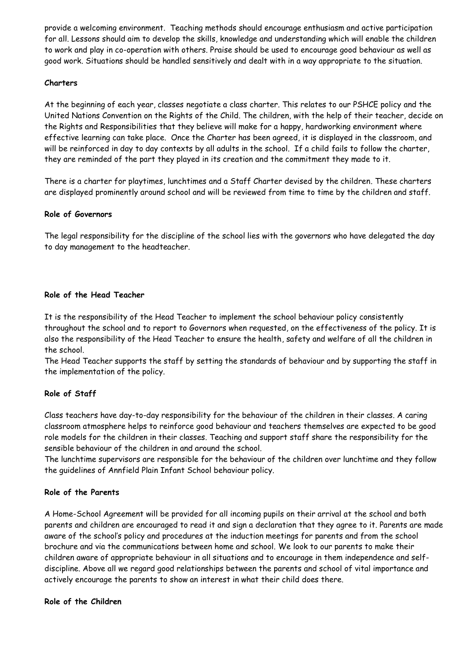provide a welcoming environment. Teaching methods should encourage enthusiasm and active participation for all. Lessons should aim to develop the skills, knowledge and understanding which will enable the children to work and play in co-operation with others. Praise should be used to encourage good behaviour as well as good work. Situations should be handled sensitively and dealt with in a way appropriate to the situation.

# **Charters**

At the beginning of each year, classes negotiate a class charter. This relates to our PSHCE policy and the United Nations Convention on the Rights of the Child. The children, with the help of their teacher, decide on the Rights and Responsibilities that they believe will make for a happy, hardworking environment where effective learning can take place. Once the Charter has been agreed, it is displayed in the classroom, and will be reinforced in day to day contexts by all adults in the school. If a child fails to follow the charter, they are reminded of the part they played in its creation and the commitment they made to it.

There is a charter for playtimes, lunchtimes and a Staff Charter devised by the children. These charters are displayed prominently around school and will be reviewed from time to time by the children and staff.

# **Role of Governors**

The legal responsibility for the discipline of the school lies with the governors who have delegated the day to day management to the headteacher.

## **Role of the Head Teacher**

It is the responsibility of the Head Teacher to implement the school behaviour policy consistently throughout the school and to report to Governors when requested, on the effectiveness of the policy. It is also the responsibility of the Head Teacher to ensure the health, safety and welfare of all the children in the school.

The Head Teacher supports the staff by setting the standards of behaviour and by supporting the staff in the implementation of the policy.

# **Role of Staff**

Class teachers have day-to-day responsibility for the behaviour of the children in their classes. A caring classroom atmosphere helps to reinforce good behaviour and teachers themselves are expected to be good role models for the children in their classes. Teaching and support staff share the responsibility for the sensible behaviour of the children in and around the school.

The lunchtime supervisors are responsible for the behaviour of the children over lunchtime and they follow the guidelines of Annfield Plain Infant School behaviour policy.

# **Role of the Parents**

A Home-School Agreement will be provided for all incoming pupils on their arrival at the school and both parents and children are encouraged to read it and sign a declaration that they agree to it. Parents are made aware of the school's policy and procedures at the induction meetings for parents and from the school brochure and via the communications between home and school. We look to our parents to make their children aware of appropriate behaviour in all situations and to encourage in them independence and selfdiscipline. Above all we regard good relationships between the parents and school of vital importance and actively encourage the parents to show an interest in what their child does there.

#### **Role of the Children**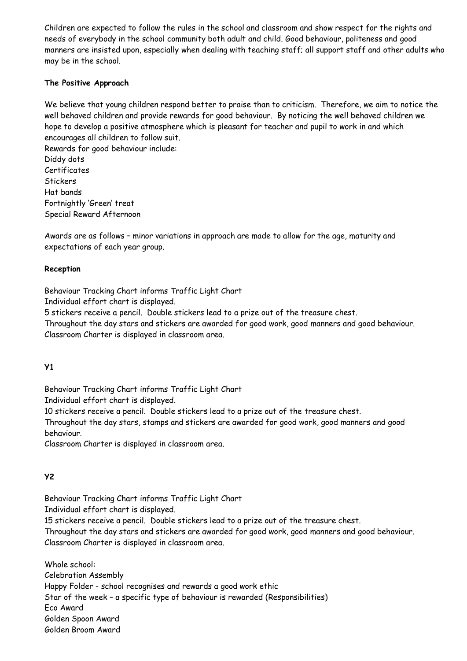Children are expected to follow the rules in the school and classroom and show respect for the rights and needs of everybody in the school community both adult and child. Good behaviour, politeness and good manners are insisted upon, especially when dealing with teaching staff; all support staff and other adults who may be in the school.

# **The Positive Approach**

We believe that young children respond better to praise than to criticism. Therefore, we aim to notice the well behaved children and provide rewards for good behaviour. By noticing the well behaved children we hope to develop a positive atmosphere which is pleasant for teacher and pupil to work in and which encourages all children to follow suit.

Rewards for good behaviour include: Diddy dots **Certificates Stickers** Hat bands Fortnightly 'Green' treat Special Reward Afternoon

Awards are as follows – minor variations in approach are made to allow for the age, maturity and expectations of each year group.

# **Reception**

Behaviour Tracking Chart informs Traffic Light Chart

Individual effort chart is displayed.

5 stickers receive a pencil. Double stickers lead to a prize out of the treasure chest.

Throughout the day stars and stickers are awarded for good work, good manners and good behaviour. Classroom Charter is displayed in classroom area.

# **Y1**

Behaviour Tracking Chart informs Traffic Light Chart

Individual effort chart is displayed.

10 stickers receive a pencil. Double stickers lead to a prize out of the treasure chest.

Throughout the day stars, stamps and stickers are awarded for good work, good manners and good behaviour.

Classroom Charter is displayed in classroom area.

# **Y2**

Behaviour Tracking Chart informs Traffic Light Chart

Individual effort chart is displayed.

15 stickers receive a pencil. Double stickers lead to a prize out of the treasure chest.

Throughout the day stars and stickers are awarded for good work, good manners and good behaviour. Classroom Charter is displayed in classroom area.

Whole school: Celebration Assembly Happy Folder - school recognises and rewards a good work ethic Star of the week – a specific type of behaviour is rewarded (Responsibilities) Eco Award Golden Spoon Award Golden Broom Award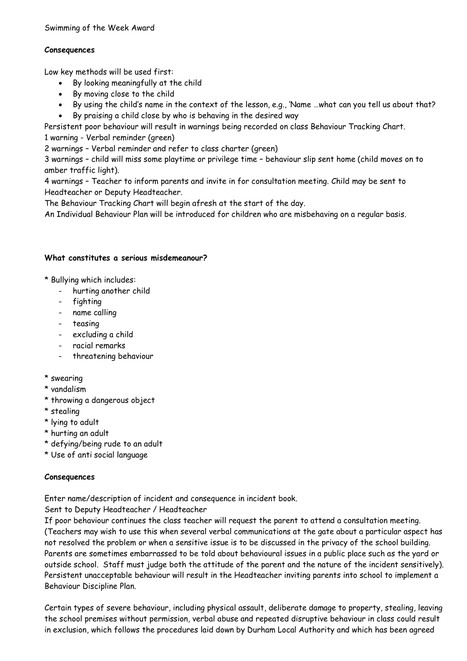# **Consequences**

Low key methods will be used first:

- By looking meaningfully at the child
- By moving close to the child
- By using the child's name in the context of the lesson, e.g., 'Name …what can you tell us about that?
- By praising a child close by who is behaving in the desired way

Persistent poor behaviour will result in warnings being recorded on class Behaviour Tracking Chart.

1 warning - Verbal reminder (green)

2 warnings – Verbal reminder and refer to class charter (green)

3 warnings – child will miss some playtime or privilege time – behaviour slip sent home (child moves on to amber traffic light).

4 warnings – Teacher to inform parents and invite in for consultation meeting. Child may be sent to Headteacher or Deputy Headteacher.

The Behaviour Tracking Chart will begin afresh at the start of the day.

An Individual Behaviour Plan will be introduced for children who are misbehaving on a regular basis.

# **What constitutes a serious misdemeanour?**

\* Bullying which includes:

- hurting another child
- fighting
- name calling
- teasing
- excluding a child
- racial remarks
- threatening behaviour
- \* swearing
- \* vandalism
- \* throwing a dangerous object
- \* stealing
- \* lying to adult
- \* hurting an adult
- \* defying/being rude to an adult
- \* Use of anti social language

# **Consequences**

Enter name/description of incident and consequence in incident book.

Sent to Deputy Headteacher / Headteacher

If poor behaviour continues the class teacher will request the parent to attend a consultation meeting. (Teachers may wish to use this when several verbal communications at the gate about a particular aspect has not resolved the problem or when a sensitive issue is to be discussed in the privacy of the school building. Parents are sometimes embarrassed to be told about behavioural issues in a public place such as the yard or outside school. Staff must judge both the attitude of the parent and the nature of the incident sensitively). Persistent unacceptable behaviour will result in the Headteacher inviting parents into school to implement a Behaviour Discipline Plan.

Certain types of severe behaviour, including physical assault, deliberate damage to property, stealing, leaving the school premises without permission, verbal abuse and repeated disruptive behaviour in class could result in exclusion, which follows the procedures laid down by Durham Local Authority and which has been agreed